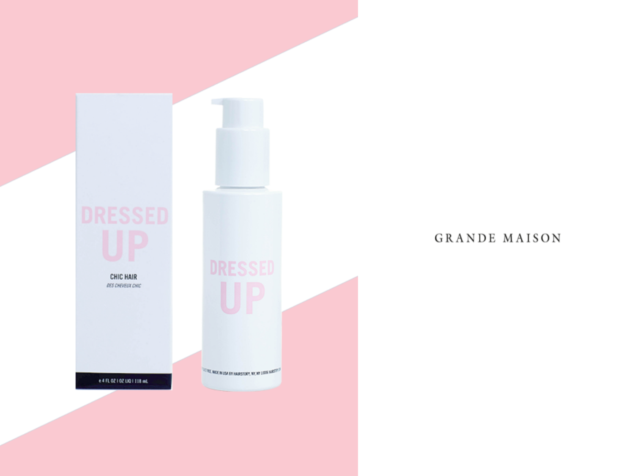

## GRANDE MAISON